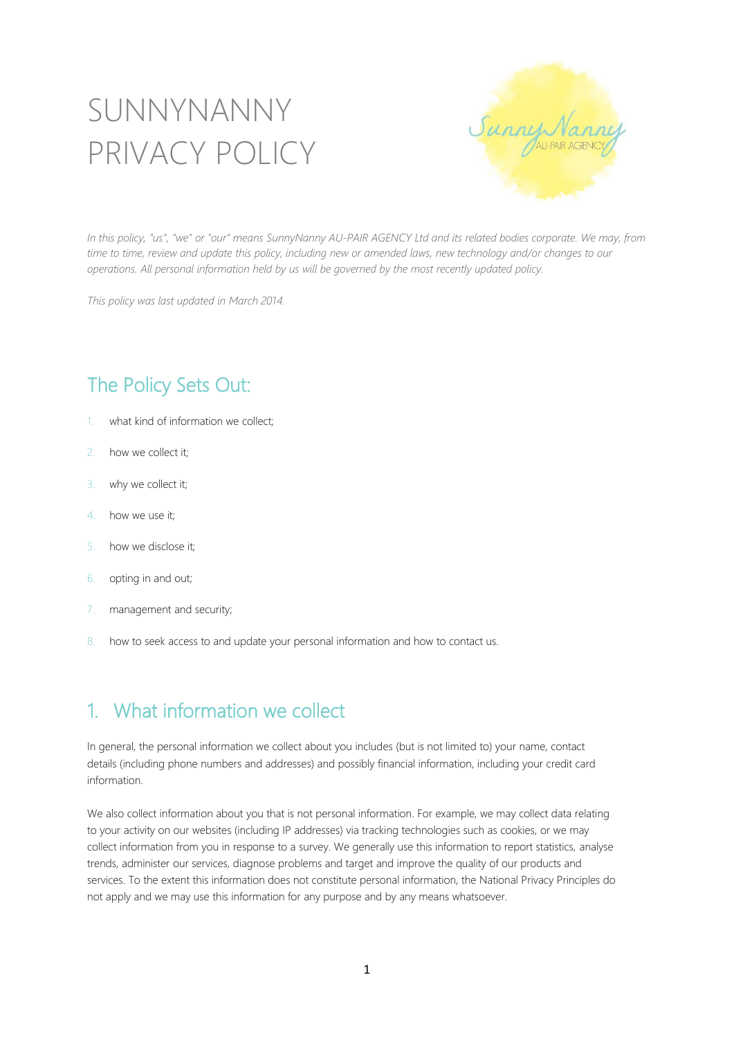# SUNNYNANNY PRIVACY POLICY



In this policy, "us", "we" or "our" means SunnyNanny AU-PAIR AGENCY Ltd and its related bodies corporate. We may, from time to time, review and update this policy, including new or amended laws, new technology and/or changes to our *operations. All personal information held by us will be governed by the most recently updated policy.*

*This policy was last updated in March 2014.*

## The Policy Sets Out:

- 1. what kind of information we collect;
- 2. how we collect it;
- 3. why we collect it;
- 4. how we use it;
- 5. how we disclose it;
- 6. opting in and out;
- 7. management and security;
- 8. how to seek access to and update your personal information and how to contact us.

#### 1. What information we collect

In general, the personal information we collect about you includes (but is not limited to) your name, contact details (including phone numbers and addresses) and possibly financial information, including your credit card information.

We also collect information about you that is not personal information. For example, we may collect data relating to your activity on our websites (including IP addresses) via tracking technologies such as cookies, or we may collect information from you in response to a survey. We generally use this information to report statistics, analyse trends, administer our services, diagnose problems and target and improve the quality of our products and services. To the extent this information does not constitute personal information, the National Privacy Principles do not apply and we may use this information for any purpose and by any means whatsoever.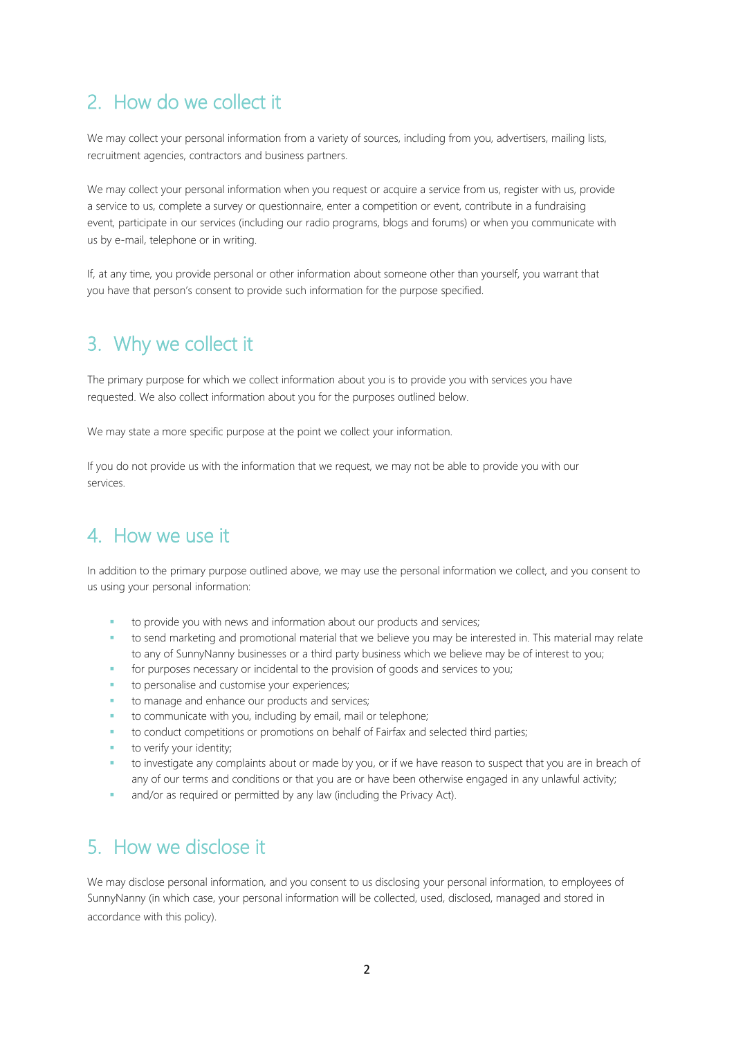## 2. How do we collect it

We may collect your personal information from a variety of sources, including from you, advertisers, mailing lists, recruitment agencies, contractors and business partners.

We may collect your personal information when you request or acquire a service from us, register with us, provide a service to us, complete a survey or questionnaire, enter a competition or event, contribute in a fundraising event, participate in our services (including our radio programs, blogs and forums) or when you communicate with us by e-mail, telephone or in writing.

If, at any time, you provide personal or other information about someone other than yourself, you warrant that you have that person's consent to provide such information for the purpose specified.

### 3. Why we collect it

The primary purpose for which we collect information about you is to provide you with services you have requested. We also collect information about you for the purposes outlined below.

We may state a more specific purpose at the point we collect your information.

If you do not provide us with the information that we request, we may not be able to provide you with our services.

#### 4. How we use it

In addition to the primary purpose outlined above, we may use the personal information we collect, and you consent to us using your personal information:

- to provide you with news and information about our products and services;
- to send marketing and promotional material that we believe you may be interested in. This material may relate to any of SunnyNanny businesses or a third party business which we believe may be of interest to you;
- for purposes necessary or incidental to the provision of goods and services to you;
- to personalise and customise your experiences;
- to manage and enhance our products and services;
- to communicate with you, including by email, mail or telephone;
- to conduct competitions or promotions on behalf of Fairfax and selected third parties;
- to verify your identity;
- to investigate any complaints about or made by you, or if we have reason to suspect that you are in breach of any of our terms and conditions or that you are or have been otherwise engaged in any unlawful activity;
- and/or as required or permitted by any law (including the Privacy Act).

#### 5. How we disclose it

We may disclose personal information, and you consent to us disclosing your personal information, to employees of SunnyNanny (in which case, your personal information will be collected, used, disclosed, managed and stored in accordance with this policy).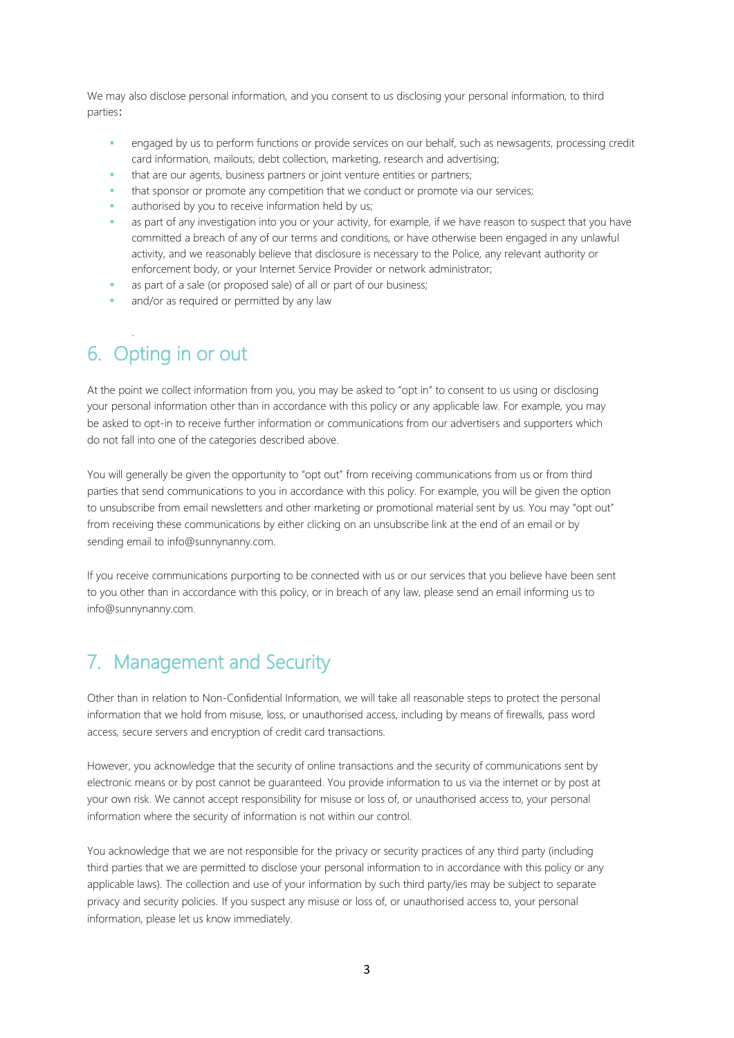We may also disclose personal information, and you consent to us disclosing your personal information, to third parties:

- engaged by us to perform functions or provide services on our behalf, such as newsagents, processing credit card information, mailouts, debt collection, marketing, research and advertising;
- that are our agents, business partners or joint venture entities or partners;
- that sponsor or promote any competition that we conduct or promote via our services;
- authorised by you to receive information held by us;
- as part of any investigation into you or your activity, for example, if we have reason to suspect that you have committed a breach of any of our terms and conditions, or have otherwise been engaged in any unlawful activity, and we reasonably believe that disclosure is necessary to the Police, any relevant authority or enforcement body, or your Internet Service Provider or network administrator;
- as part of a sale (or proposed sale) of all or part of our business;
- and/or as required or permitted by any law

## 6. Opting in or out

.

At the point we collect information from you, you may be asked to "opt in" to consent to us using or disclosing your personal information other than in accordance with this policy or any applicable law. For example, you may be asked to opt-in to receive further information or communications from our advertisers and supporters which do not fall into one of the categories described above.

You will generally be given the opportunity to "opt out" from receiving communications from us or from third parties that send communications to you in accordance with this policy. For example, you will be given the option to unsubscribe from email newsletters and other marketing or promotional material sent by us. You may "opt out" from receiving these communications by either clicking on an unsubscribe link at the end of an email or by sending email to info@sunnynanny.com.

If you receive communications purporting to be connected with us or our services that you believe have been sent to you other than in accordance with this policy, or in breach of any law, please send an email informing us to info@sunnynanny.com.

#### 7. Management and Security

Other than in relation to Non-Confidential Information, we will take all reasonable steps to protect the personal information that we hold from misuse, loss, or unauthorised access, including by means of firewalls, pass word access, secure servers and encryption of credit card transactions.

However, you acknowledge that the security of online transactions and the security of communications sent by electronic means or by post cannot be guaranteed. You provide information to us via the internet or by post at your own risk. We cannot accept responsibility for misuse or loss of, or unauthorised access to, your personal information where the security of information is not within our control.

You acknowledge that we are not responsible for the privacy or security practices of any third party (including third parties that we are permitted to disclose your personal information to in accordance with this policy or any applicable laws). The collection and use of your information by such third party/ies may be subject to separate privacy and security policies. If you suspect any misuse or loss of, or unauthorised access to, your personal information, please let us know immediately.